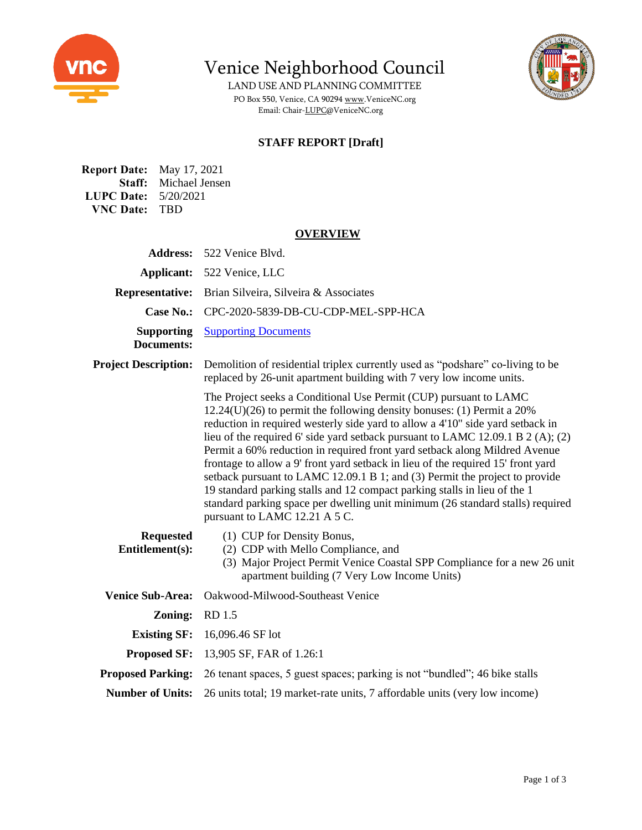

Venice Neighborhood Council

LAND USE AND PLANNING COMMITTEE PO Box 550, Venice, CA 9029[4 www.VeniceNC.org](http://www.venicenc.org/) Email: Chair[-LUPC@VeniceNC.org](mailto:LUPC@VeniceNC.org)



### **STAFF REPORT [Draft]**

**Report Date:** May 17, 2021 **Staff:** Michael Jensen **LUPC Date:** 5/20/2021 **VNC Date:** TBD

#### **OVERVIEW**

| <b>Address:</b>                     | 522 Venice Blvd.                                                                                                                                                                                                                                                                                                                                                                                                                                                                                                                                                                                                                                                                                                                                                      |
|-------------------------------------|-----------------------------------------------------------------------------------------------------------------------------------------------------------------------------------------------------------------------------------------------------------------------------------------------------------------------------------------------------------------------------------------------------------------------------------------------------------------------------------------------------------------------------------------------------------------------------------------------------------------------------------------------------------------------------------------------------------------------------------------------------------------------|
| Applicant:                          | 522 Venice, LLC                                                                                                                                                                                                                                                                                                                                                                                                                                                                                                                                                                                                                                                                                                                                                       |
| <b>Representative:</b>              | Brian Silveira, Silveira & Associates                                                                                                                                                                                                                                                                                                                                                                                                                                                                                                                                                                                                                                                                                                                                 |
| <b>Case No.:</b>                    | CPC-2020-5839-DB-CU-CDP-MEL-SPP-HCA                                                                                                                                                                                                                                                                                                                                                                                                                                                                                                                                                                                                                                                                                                                                   |
| <b>Supporting</b><br>Documents:     | <b>Supporting Documents</b>                                                                                                                                                                                                                                                                                                                                                                                                                                                                                                                                                                                                                                                                                                                                           |
| <b>Project Description:</b>         | Demolition of residential triplex currently used as "podshare" co-living to be<br>replaced by 26-unit apartment building with 7 very low income units.                                                                                                                                                                                                                                                                                                                                                                                                                                                                                                                                                                                                                |
|                                     | The Project seeks a Conditional Use Permit (CUP) pursuant to LAMC<br>$12.24(U)(26)$ to permit the following density bonuses: (1) Permit a 20%<br>reduction in required westerly side yard to allow a 4'10" side yard setback in<br>lieu of the required 6' side yard setback pursuant to LAMC 12.09.1 B $2(A)$ ; (2)<br>Permit a 60% reduction in required front yard setback along Mildred Avenue<br>frontage to allow a 9' front yard setback in lieu of the required 15' front yard<br>setback pursuant to LAMC 12.09.1 B 1; and (3) Permit the project to provide<br>19 standard parking stalls and 12 compact parking stalls in lieu of the 1<br>standard parking space per dwelling unit minimum (26 standard stalls) required<br>pursuant to LAMC 12.21 A 5 C. |
| <b>Requested</b><br>Entitlement(s): | (1) CUP for Density Bonus,<br>(2) CDP with Mello Compliance, and<br>(3) Major Project Permit Venice Coastal SPP Compliance for a new 26 unit<br>apartment building (7 Very Low Income Units)                                                                                                                                                                                                                                                                                                                                                                                                                                                                                                                                                                          |
| <b>Venice Sub-Area:</b>             | Oakwood-Milwood-Southeast Venice                                                                                                                                                                                                                                                                                                                                                                                                                                                                                                                                                                                                                                                                                                                                      |
| Zoning:                             | RD 1.5                                                                                                                                                                                                                                                                                                                                                                                                                                                                                                                                                                                                                                                                                                                                                                |
| <b>Existing SF:</b>                 | 16,096.46 SF lot                                                                                                                                                                                                                                                                                                                                                                                                                                                                                                                                                                                                                                                                                                                                                      |
| <b>Proposed SF:</b>                 | 13,905 SF, FAR of 1.26:1                                                                                                                                                                                                                                                                                                                                                                                                                                                                                                                                                                                                                                                                                                                                              |
| <b>Proposed Parking:</b>            | 26 tenant spaces, 5 guest spaces; parking is not "bundled"; 46 bike stalls                                                                                                                                                                                                                                                                                                                                                                                                                                                                                                                                                                                                                                                                                            |
| <b>Number of Units:</b>             | 26 units total; 19 market-rate units, 7 affordable units (very low income)                                                                                                                                                                                                                                                                                                                                                                                                                                                                                                                                                                                                                                                                                            |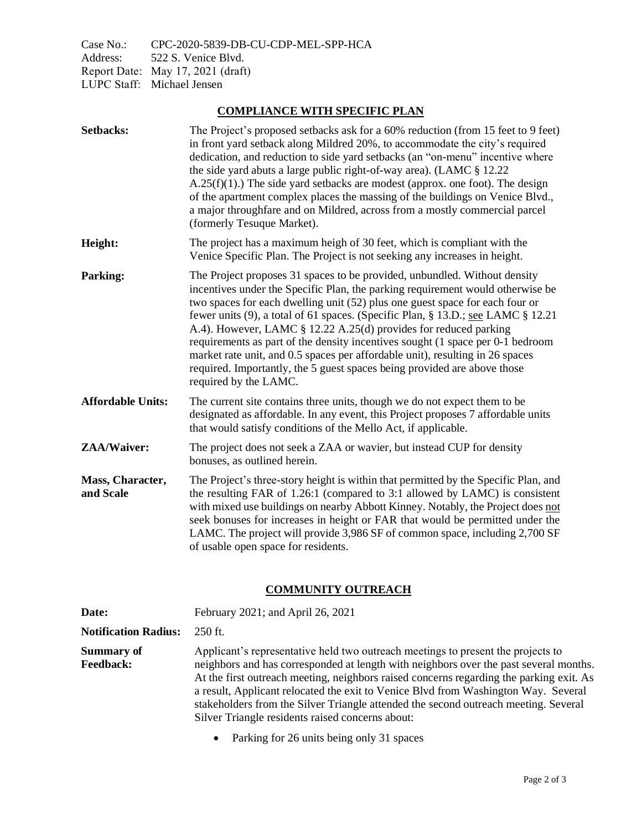Case No.: CPC-2020-5839-DB-CU-CDP-MEL-SPP-HCA Address: 522 S. Venice Blvd. Report Date: May 17, 2021 (draft) LUPC Staff: Michael Jensen

## **COMPLIANCE WITH SPECIFIC PLAN**

| <b>Setbacks:</b>              | The Project's proposed setbacks ask for a 60% reduction (from 15 feet to 9 feet)<br>in front yard setback along Mildred 20%, to accommodate the city's required<br>dedication, and reduction to side yard setbacks (an "on-menu" incentive where<br>the side yard abuts a large public right-of-way area). (LAMC § 12.22<br>$A.25(f)(1)$ .) The side yard setbacks are modest (approx. one foot). The design<br>of the apartment complex places the massing of the buildings on Venice Blvd.,<br>a major throughfare and on Mildred, across from a mostly commercial parcel<br>(formerly Tesuque Market).                                                                   |
|-------------------------------|-----------------------------------------------------------------------------------------------------------------------------------------------------------------------------------------------------------------------------------------------------------------------------------------------------------------------------------------------------------------------------------------------------------------------------------------------------------------------------------------------------------------------------------------------------------------------------------------------------------------------------------------------------------------------------|
| Height:                       | The project has a maximum heigh of 30 feet, which is compliant with the<br>Venice Specific Plan. The Project is not seeking any increases in height.                                                                                                                                                                                                                                                                                                                                                                                                                                                                                                                        |
| <b>Parking:</b>               | The Project proposes 31 spaces to be provided, unbundled. Without density<br>incentives under the Specific Plan, the parking requirement would otherwise be<br>two spaces for each dwelling unit (52) plus one guest space for each four or<br>fewer units (9), a total of 61 spaces. (Specific Plan, § 13.D.; see LAMC § 12.21<br>A.4). However, LAMC § 12.22 A.25(d) provides for reduced parking<br>requirements as part of the density incentives sought (1 space per 0-1 bedroom<br>market rate unit, and 0.5 spaces per affordable unit), resulting in 26 spaces<br>required. Importantly, the 5 guest spaces being provided are above those<br>required by the LAMC. |
| <b>Affordable Units:</b>      | The current site contains three units, though we do not expect them to be<br>designated as affordable. In any event, this Project proposes 7 affordable units<br>that would satisfy conditions of the Mello Act, if applicable.                                                                                                                                                                                                                                                                                                                                                                                                                                             |
| ZAA/Waiver:                   | The project does not seek a ZAA or wavier, but instead CUP for density<br>bonuses, as outlined herein.                                                                                                                                                                                                                                                                                                                                                                                                                                                                                                                                                                      |
| Mass, Character,<br>and Scale | The Project's three-story height is within that permitted by the Specific Plan, and<br>the resulting FAR of 1.26:1 (compared to 3:1 allowed by LAMC) is consistent<br>with mixed use buildings on nearby Abbott Kinney. Notably, the Project does not<br>seek bonuses for increases in height or FAR that would be permitted under the<br>LAMC. The project will provide 3,986 SF of common space, including 2,700 SF<br>of usable open space for residents.                                                                                                                                                                                                                |

# **COMMUNITY OUTREACH**

| Date:                                 | February 2021; and April 26, 2021                                                                                                                                                                                                                                                                                                                                                                                                                                                                                                                         |
|---------------------------------------|-----------------------------------------------------------------------------------------------------------------------------------------------------------------------------------------------------------------------------------------------------------------------------------------------------------------------------------------------------------------------------------------------------------------------------------------------------------------------------------------------------------------------------------------------------------|
| <b>Notification Radius:</b>           | $250$ ft.                                                                                                                                                                                                                                                                                                                                                                                                                                                                                                                                                 |
| <b>Summary of</b><br><b>Feedback:</b> | Applicant's representative held two outreach meetings to present the projects to<br>neighbors and has corresponded at length with neighbors over the past several months.<br>At the first outreach meeting, neighbors raised concerns regarding the parking exit. As<br>a result, Applicant relocated the exit to Venice Blvd from Washington Way. Several<br>stakeholders from the Silver Triangle attended the second outreach meeting. Several<br>Silver Triangle residents raised concerns about:<br>$\mathbf{r}$ is a set in the set of $\mathbf{r}$ |

• Parking for 26 units being only 31 spaces